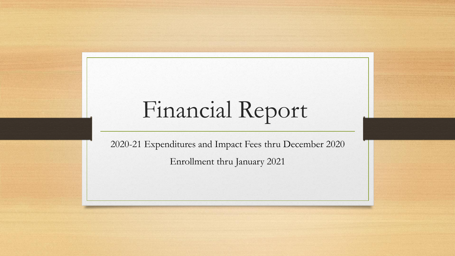## Financial Report

2020-21 Expenditures and Impact Fees thru December 2020 Enrollment thru January 2021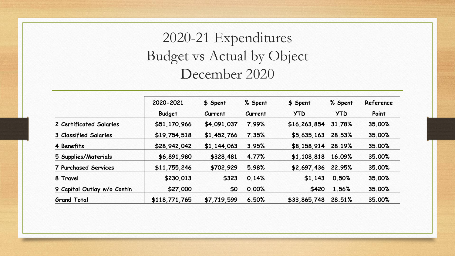## 2020-21 Expenditures Budget vs Actual by Object December 2020

|                             | 2020-2021     | \$ Spent    | % Spent | \$ Spent     | % Spent    | Reference |
|-----------------------------|---------------|-------------|---------|--------------|------------|-----------|
|                             | <b>Budget</b> | Current     | Current | <b>YTD</b>   | <b>YTD</b> | Point     |
| 2 Certificated Salaries     | \$51,170,966  | \$4,091,037 | 7.99%   | \$16,263,854 | 31.78%     | 35.00%    |
| 3 Classified Salaries       | \$19,754,518  | \$1,452,766 | 7.35%   | \$5,635,163  | 28.53%     | 35.00%    |
| 4 Benefits                  | \$28,942,042  | \$1,144,063 | 3.95%   | \$8,158,914  | 28.19%     | 35.00%    |
| 5 Supplies/Materials        | \$6,891,980   | \$328,481   | 4.77%   | \$1,108,818  | 16.09%     | 35.00%    |
| 7 Purchased Services        | \$11,755,246  | \$702,929   | 5.98%   | \$2,697,436  | 22.95%     | 35.00%    |
| 8 Travel                    | \$230,013     | \$323       | 0.14%   | \$1,143      | 0.50%      | 35.00%    |
| 9 Capital Outlay w/o Contin | \$27,000      | \$0         | 0.00%   | \$420        | 1.56%      | 35.00%    |
| <b>Grand Total</b>          | \$118,771,765 | \$7,719,599 | 6.50%   | \$33,865,748 | 28.51%     | 35.00%    |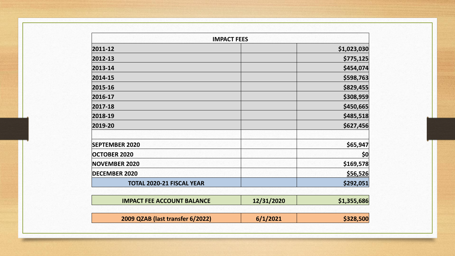| <b>IMPACT FEES</b>               |             |
|----------------------------------|-------------|
| 2011-12                          | \$1,023,030 |
| 2012-13                          | \$775,125   |
| 2013-14                          | \$454,074   |
| 2014-15                          | \$598,763   |
| 2015-16                          | \$829,455   |
| 2016-17                          | \$308,959   |
| 2017-18                          | \$450,665   |
| 2018-19                          | \$485,518   |
| 2019-20                          | \$627,456   |
|                                  |             |
| <b>SEPTEMBER 2020</b>            | \$65,947    |
| <b>OCTOBER 2020</b>              | \$0         |
| <b>NOVEMBER 2020</b>             | \$169,578   |
| <b>DECEMBER 2020</b>             | \$56,526    |
| <b>TOTAL 2020-21 FISCAL YEAR</b> | \$292,051   |

| <b>IMPACT FEE ACCOUNT BALANCE</b> | 12/31/2020 | \$1,355,686 |
|-----------------------------------|------------|-------------|
| 2009 QZAB (last transfer 6/2022)  | 6/1/2021   | \$328,500   |